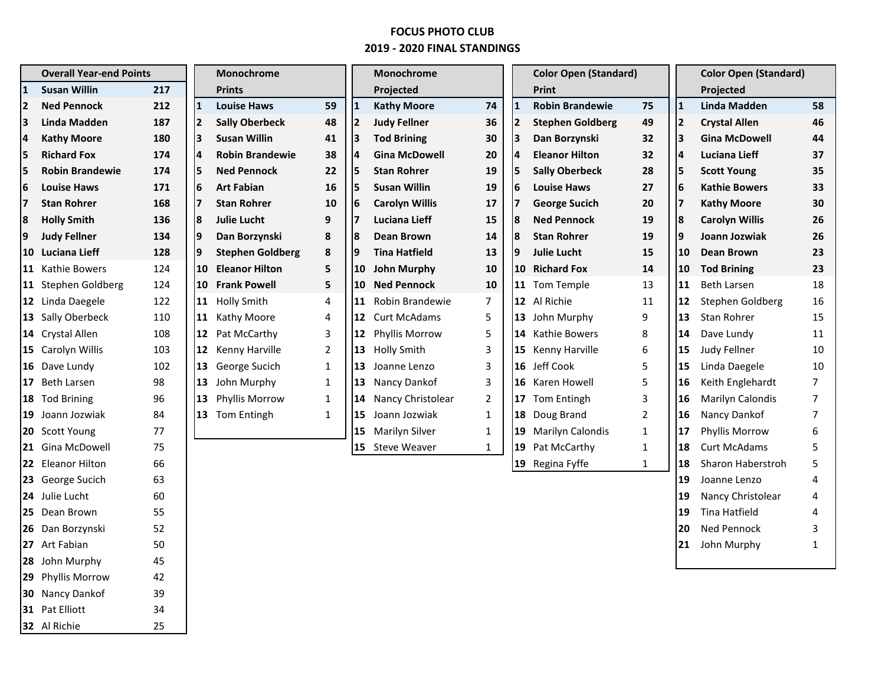## **FOCUS PHOTO CLUB 2019 - 2020 FINAL STANDINGS**

| <b>Overall Year-end Points</b> |                        |     | Monochrome      |                         | Monochrome     |    |                       | <b>Color Open (Standard)</b> |              |                         | <b>Color Open (Standard)</b> |     |                       |                |
|--------------------------------|------------------------|-----|-----------------|-------------------------|----------------|----|-----------------------|------------------------------|--------------|-------------------------|------------------------------|-----|-----------------------|----------------|
| $\mathbf{1}$                   | <b>Susan Willin</b>    | 217 |                 | <b>Prints</b>           |                |    | Projected             |                              |              | Print                   |                              |     | Projected             |                |
| l2                             | <b>Ned Pennock</b>     | 212 | 11              | <b>Louise Haws</b>      | 59             |    | <b>Kathy Moore</b>    | 74                           | $\mathbf{1}$ | <b>Robin Brandewie</b>  | 75                           | 11  | <b>Linda Madden</b>   | 58             |
| 13                             | Linda Madden           | 187 | 12              | <b>Sally Oberbeck</b>   | 48             |    | <b>Judy Fellner</b>   | 36                           | 2            | <b>Stephen Goldberg</b> | 49                           | 12  | <b>Crystal Allen</b>  | 46             |
| 14                             | <b>Kathy Moore</b>     | 180 | Iз              | <b>Susan Willin</b>     | 41             |    | <b>Tod Brining</b>    | 30                           | 3            | Dan Borzynski           | 32                           | lз  | <b>Gina McDowell</b>  | 44             |
| 5                              | <b>Richard Fox</b>     | 174 | I4              | <b>Robin Brandewie</b>  | 38             | 4  | <b>Gina McDowell</b>  | 20                           | 14           | <b>Eleanor Hilton</b>   | 32                           | 14  | Luciana Lieff         | 37             |
| 5                              | <b>Robin Brandewie</b> | 174 | İ5              | <b>Ned Pennock</b>      | 22             |    | <b>Stan Rohrer</b>    | 19                           | 15           | <b>Sally Oberbeck</b>   | 28                           | 15  | <b>Scott Young</b>    | 35             |
| 16                             | <b>Louise Haws</b>     | 171 | 16              | <b>Art Fabian</b>       | 16             |    | <b>Susan Willin</b>   | 19                           | 6            | <b>Louise Haws</b>      | 27                           | 16  | <b>Kathie Bowers</b>  | 33             |
| 17                             | <b>Stan Rohrer</b>     | 168 | 17              | <b>Stan Rohrer</b>      | 10             | 6  | <b>Carolyn Willis</b> | 17                           | 17           | <b>George Sucich</b>    | 20                           | 17  | <b>Kathy Moore</b>    | 30             |
| 8                              | <b>Holly Smith</b>     | 136 | 8               | <b>Julie Lucht</b>      | 9              |    | Luciana Lieff         | 15                           | 8            | <b>Ned Pennock</b>      | 19                           | 8   | <b>Carolyn Willis</b> | 26             |
| 19                             | <b>Judy Fellner</b>    | 134 | l9              | Dan Borzynski           | 8              | 8  | Dean Brown            | 14                           | 18           | <b>Stan Rohrer</b>      | 19                           | l9  | Joann Jozwiak         | 26             |
|                                | 10 Luciana Lieff       | 128 | 19              | <b>Stephen Goldberg</b> | 8              | 9  | <b>Tina Hatfield</b>  | 13                           | 9            | <b>Julie Lucht</b>      | 15                           | 10  | Dean Brown            | 23             |
|                                | 11 Kathie Bowers       | 124 | 10              | <b>Eleanor Hilton</b>   | 5              | 10 | <b>John Murphy</b>    | 10                           |              | 10 Richard Fox          | 14                           | 10  | <b>Tod Brining</b>    | 23             |
|                                | 11 Stephen Goldberg    | 124 | 10 <sup>°</sup> | <b>Frank Powell</b>     | 5              | 10 | <b>Ned Pennock</b>    | 10                           |              | 11 Tom Temple           | 13                           | 11  | <b>Beth Larsen</b>    | 18             |
|                                | 12 Linda Daegele       | 122 | 11              | <b>Holly Smith</b>      | 4              | 11 | Robin Brandewie       | $\overline{7}$               |              | 12 Al Richie            | 11                           | 12  | Stephen Goldberg      | 16             |
|                                | 13 Sally Oberbeck      | 110 | 11              | Kathy Moore             | 4              | 12 | <b>Curt McAdams</b>   | 5                            |              | 13 John Murphy          | 9                            | 13  | Stan Rohrer           | 15             |
|                                | 14 Crystal Allen       | 108 | 12              | Pat McCarthy            | 3              | 12 | Phyllis Morrow        | 5                            |              | <b>14</b> Kathie Bowers | 8                            | 14  | Dave Lundy            | 11             |
|                                | 15 Carolyn Willis      | 103 |                 | 12 Kenny Harville       | $\overline{2}$ | 13 | <b>Holly Smith</b>    | 3                            |              | 15 Kenny Harville       | 6                            | 15  | Judy Fellner          | 10             |
|                                | 16 Dave Lundy          | 102 |                 | 13 George Sucich        | $\mathbf{1}$   | 13 | Joanne Lenzo          | 3                            |              | 16 Jeff Cook            | 5                            | 15  | Linda Daegele         | 10             |
|                                | 17 Beth Larsen         | 98  |                 | 13 John Murphy          | $\mathbf{1}$   | 13 | Nancy Dankof          | 3                            |              | 16 Karen Howell         | 5                            | l16 | Keith Englehardt      | 7              |
|                                | 18 Tod Brining         | 96  | 13              | Phyllis Morrow          | $\mathbf{1}$   | 14 | Nancy Christolear     | $\overline{2}$               | 17           | Tom Entingh             | 3                            | 16  | Marilyn Calondis      | 7              |
|                                | 19 Joann Jozwiak       | 84  |                 | 13 Tom Entingh          | $\mathbf{1}$   | 15 | Joann Jozwiak         | $\mathbf{1}$                 |              | 18 Doug Brand           | $\overline{2}$               | 16  | Nancy Dankof          | $\overline{7}$ |
|                                | 20 Scott Young         | 77  |                 |                         |                | 15 | Marilyn Silver        | $\mathbf{1}$                 |              | 19 Marilyn Calondis     | $\mathbf{1}$                 | 17  | Phyllis Morrow        | 6              |
|                                | 21 Gina McDowell       | 75  |                 |                         |                | 15 | <b>Steve Weaver</b>   | $\mathbf{1}$                 |              | 19 Pat McCarthy         | $\mathbf{1}$                 | 18  | <b>Curt McAdams</b>   | 5              |
|                                | 22 Eleanor Hilton      | 66  |                 |                         |                |    |                       |                              |              | 19 Regina Fyffe         | $\mathbf{1}$                 | 18  | Sharon Haberstroh     | 5              |
|                                | 23 George Sucich       | 63  |                 |                         |                |    |                       |                              |              |                         |                              | 19  | Joanne Lenzo          | 4              |
|                                | 24 Julie Lucht         | 60  |                 |                         |                |    |                       |                              |              |                         |                              | 19  | Nancy Christolear     | 4              |
|                                | 25 Dean Brown          | 55  |                 |                         |                |    |                       |                              |              |                         |                              | 19  | Tina Hatfield         | 4              |
|                                | 26 Dan Borzynski       | 52  |                 |                         |                |    |                       |                              |              |                         |                              | 20  | Ned Pennock           | 3              |
|                                | 27 Art Fabian          | 50  |                 |                         |                |    |                       |                              |              |                         |                              | 21  | John Murphy           | 1              |
|                                | 28 John Murphy         | 45  |                 |                         |                |    |                       |                              |              |                         |                              |     |                       |                |
|                                | 29 Phyllis Morrow      | 42  |                 |                         |                |    |                       |                              |              |                         |                              |     |                       |                |
|                                | 30 Nancy Dankof        | 39  |                 |                         |                |    |                       |                              |              |                         |                              |     |                       |                |
|                                | 31 Pat Elliott         | 34  |                 |                         |                |    |                       |                              |              |                         |                              |     |                       |                |

Al Richie 25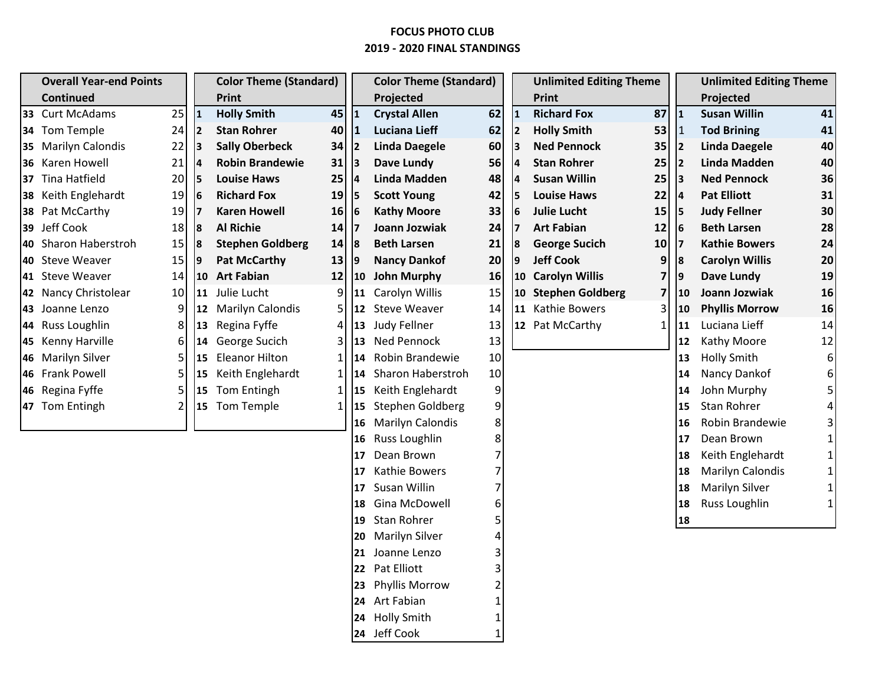## **FOCUS PHOTO CLUB 2019 - 2020 FINAL STANDINGS**

| <b>Overall Year-end Points</b> |                      |    | <b>Color Theme (Standard)</b> |                         | <b>Color Theme (Standard)</b> |              |                          |          | <b>Unlimited Editing Theme</b> |                         | <b>Unlimited Editing Theme</b> |           |                       |    |
|--------------------------------|----------------------|----|-------------------------------|-------------------------|-------------------------------|--------------|--------------------------|----------|--------------------------------|-------------------------|--------------------------------|-----------|-----------------------|----|
|                                | Continued            |    |                               | Print                   |                               |              | Projected                |          |                                | Print                   |                                |           | Projected             |    |
|                                | 33 Curt McAdams      | 25 | $\mathbf{1}$                  | <b>Holly Smith</b>      | 45                            | $\mathbf{1}$ | <b>Crystal Allen</b>     | 62       | $\mathbf{1}$                   | <b>Richard Fox</b>      | 87                             | 1         | <b>Susan Willin</b>   | 41 |
|                                | 34 Tom Temple        | 24 | <b>2</b>                      | <b>Stan Rohrer</b>      | 40                            | $\mathbf{1}$ | <b>Luciana Lieff</b>     | 62       | $\overline{2}$                 | <b>Holly Smith</b>      | 53                             | $\vert$ 1 | <b>Tod Brining</b>    | 41 |
|                                | 35 Marilyn Calondis  | 22 | 3                             | <b>Sally Oberbeck</b>   | 34                            | 2            | <b>Linda Daegele</b>     | 60       | 13                             | <b>Ned Pennock</b>      | 35                             | 12        | <b>Linda Daegele</b>  | 40 |
|                                | 36 Karen Howell      | 21 | 4                             | <b>Robin Brandewie</b>  | 31                            | 13           | Dave Lundy               | 56       | $\overline{4}$                 | <b>Stan Rohrer</b>      | 25                             | 12        | <b>Linda Madden</b>   | 40 |
|                                | 37 Tina Hatfield     | 20 | 5                             | <b>Louise Haws</b>      | 25                            | 14           | <b>Linda Madden</b>      | 48       | $\overline{a}$                 | <b>Susan Willin</b>     | 25                             | 13        | <b>Ned Pennock</b>    | 36 |
|                                | 38 Keith Englehardt  | 19 | 6                             | <b>Richard Fox</b>      | 19                            | 15           | <b>Scott Young</b>       | 42       | 5                              | <b>Louise Haws</b>      | 22                             | 14        | <b>Pat Elliott</b>    | 31 |
|                                | 38 Pat McCarthy      | 19 |                               | <b>Karen Howell</b>     | 16                            | 16           | <b>Kathy Moore</b>       | 33       | 6                              | <b>Julie Lucht</b>      | 15                             | l5        | <b>Judy Fellner</b>   | 30 |
|                                | 39 Jeff Cook         | 18 | 18                            | <b>Al Richie</b>        | 14                            | 17           | Joann Jozwiak            | 24       | $\overline{7}$                 | <b>Art Fabian</b>       | 12                             | 16        | <b>Beth Larsen</b>    | 28 |
|                                | 40 Sharon Haberstroh | 15 | 18                            | <b>Stephen Goldberg</b> | 14                            | 18           | <b>Beth Larsen</b>       | 21       | 8                              | <b>George Sucich</b>    | 10                             | 17        | <b>Kathie Bowers</b>  | 24 |
|                                | 40 Steve Weaver      | 15 | 19                            | <b>Pat McCarthy</b>     | 13                            | 19           | <b>Nancy Dankof</b>      | 20       | 9                              | <b>Jeff Cook</b>        | 9                              | 8         | <b>Carolyn Willis</b> | 20 |
|                                | 41 Steve Weaver      | 14 |                               | 10 Art Fabian           | 12                            | $ 10\rangle$ | <b>John Murphy</b>       | 16       | 10                             | <b>Carolyn Willis</b>   | 7                              | 9         | <b>Dave Lundy</b>     | 19 |
|                                | 42 Nancy Christolear | 10 | $ 11\rangle$                  | Julie Lucht             | $\overline{9}$                | <b>111</b>   | Carolyn Willis           | 15       | 10                             | <b>Stephen Goldberg</b> | 7                              | 10        | Joann Jozwiak         | 16 |
|                                | 43 Joanne Lenzo      | 9  |                               | 12 Marilyn Calondis     | 51                            |              | 12 Steve Weaver          | 14       |                                | 11 Kathie Bowers        | 3                              | 10        | <b>Phyllis Morrow</b> | 16 |
|                                | 44 Russ Loughlin     | 8  | 13                            | Regina Fyffe            | $\vert 4 \vert$               |              | 13 Judy Fellner          | 13       |                                | 12 Pat McCarthy         | 1                              | 11        | Luciana Lieff         | 14 |
|                                | 45 Kenny Harville    | 6  |                               | 14 George Sucich        | 3                             |              | 13 Ned Pennock           | 13       |                                |                         |                                | 12        | Kathy Moore           | 12 |
|                                | 46 Marilyn Silver    | 5  | 15                            | <b>Eleanor Hilton</b>   | 11                            | 114          | Robin Brandewie          | 10       |                                |                         |                                | 13        | <b>Holly Smith</b>    | 6  |
|                                | 46 Frank Powell      | 5. |                               | 15 Keith Englehardt     | 11                            | 114          | <b>Sharon Haberstroh</b> | 10       |                                |                         |                                | 14        | Nancy Dankof          | 6  |
|                                | 46 Regina Fyffe      |    |                               | 15 Tom Entingh          | 11                            |              | 15 Keith Englehardt      | 9        |                                |                         |                                | 14        | John Murphy           |    |
|                                | 47 Tom Entingh       |    |                               | 15 Tom Temple           |                               |              | 15 Stephen Goldberg      | 9        |                                |                         |                                | 15        | Stan Rohrer           |    |
|                                |                      |    |                               |                         |                               | 16           | <b>Marilyn Calondis</b>  | 8        |                                |                         |                                | 16        | Robin Brandewie       |    |
|                                |                      |    |                               |                         |                               | <b>16</b>    | <b>Russ Loughlin</b>     | 8        |                                |                         |                                | 17        | Dean Brown            |    |
|                                |                      |    |                               |                         |                               | 17           | Dean Brown               | 7        |                                |                         |                                | 18        | Keith Englehardt      |    |
|                                |                      |    |                               |                         |                               | 17           | Kathie Bowers            | 7        |                                |                         |                                | 18        | Marilyn Calondis      |    |
|                                |                      |    |                               |                         |                               | 17           | Susan Willin             |          |                                |                         |                                | 18        | Marilyn Silver        |    |
|                                |                      |    |                               |                         |                               | 18           | Gina McDowell            | 6        |                                |                         |                                | 18        | Russ Loughlin         |    |
|                                |                      |    |                               |                         |                               | 19           | Stan Rohrer              |          |                                |                         |                                | 18        |                       |    |
|                                |                      |    |                               |                         |                               | <b>20</b>    | <b>Marilyn Silver</b>    |          |                                |                         |                                |           |                       |    |
|                                |                      |    |                               |                         |                               | 21           | Joanne Lenzo             |          |                                |                         |                                |           |                       |    |
|                                |                      |    |                               |                         |                               | 22           | Pat Elliott              |          |                                |                         |                                |           |                       |    |
|                                |                      |    |                               | 23                      | <b>Phyllis Morrow</b>         |              |                          |          |                                |                         |                                |           |                       |    |
|                                |                      |    |                               |                         |                               |              | 24 Art Fabian            |          |                                |                         |                                |           |                       |    |
|                                |                      |    |                               |                         |                               | 24           | <b>Holly Smith</b>       |          |                                |                         |                                |           |                       |    |
|                                |                      |    |                               |                         |                               |              | 24 Jeff Cook             | $1\vert$ |                                |                         |                                |           |                       |    |